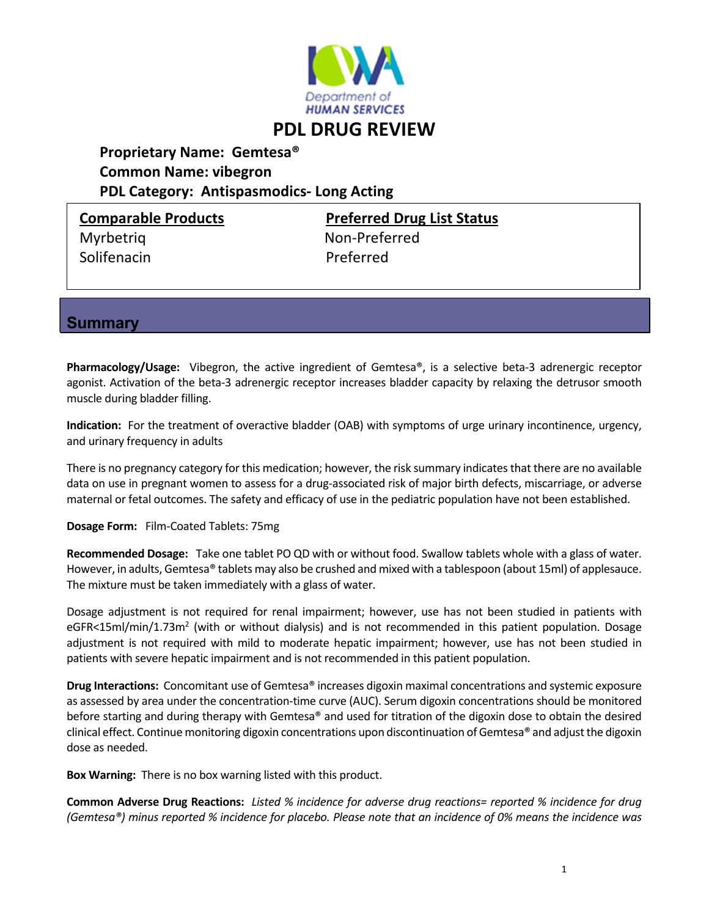

## **PDL DRUG REVIEW**

## **Proprietary Name: Gemtesa® Common Name: vibegron PDL Category: Antispasmodics‐ Long Acting**

Solifenacin Preferred

**Comparable Products Preferred Drug List Status** Myrbetriq Non‐Preferred

**Summary** 

**Pharmacology/Usage:** Vibegron, the active ingredient of Gemtesa®, is a selective beta-3 adrenergic receptor agonist. Activation of the beta‐3 adrenergic receptor increases bladder capacity by relaxing the detrusor smooth muscle during bladder filling.

**Indication:** For the treatment of overactive bladder (OAB) with symptoms of urge urinary incontinence, urgency, and urinary frequency in adults

There is no pregnancy category for this medication; however, the risk summary indicatesthat there are no available data on use in pregnant women to assess for a drug‐associated risk of major birth defects, miscarriage, or adverse maternal or fetal outcomes. The safety and efficacy of use in the pediatric population have not been established.

**Dosage Form:** Film‐Coated Tablets: 75mg

**Recommended Dosage:** Take one tablet PO QD with or without food. Swallow tablets whole with a glass of water. However, in adults, Gemtesa® tablets may also be crushed and mixed with a tablespoon (about 15ml) of applesauce. The mixture must be taken immediately with a glass of water.

Dosage adjustment is not required for renal impairment; however, use has not been studied in patients with eGFR<15ml/min/1.73m<sup>2</sup> (with or without dialysis) and is not recommended in this patient population. Dosage adjustment is not required with mild to moderate hepatic impairment; however, use has not been studied in patients with severe hepatic impairment and is not recommended in this patient population.

**Drug Interactions:** Concomitant use of Gemtesa® increases digoxin maximal concentrations and systemic exposure as assessed by area under the concentration‐time curve (AUC). Serum digoxin concentrations should be monitored before starting and during therapy with Gemtesa® and used for titration of the digoxin dose to obtain the desired clinical effect. Continue monitoring digoxin concentrations upon discontinuation of Gemtesa® and adjust the digoxin dose as needed.

**Box Warning:** There is no box warning listed with this product.

Common Adverse Drug Reactions: Listed % incidence for adverse drug reactions= reported % incidence for drug (Gemtesa®) minus reported % incidence for placebo. Please note that an incidence of 0% means the incidence was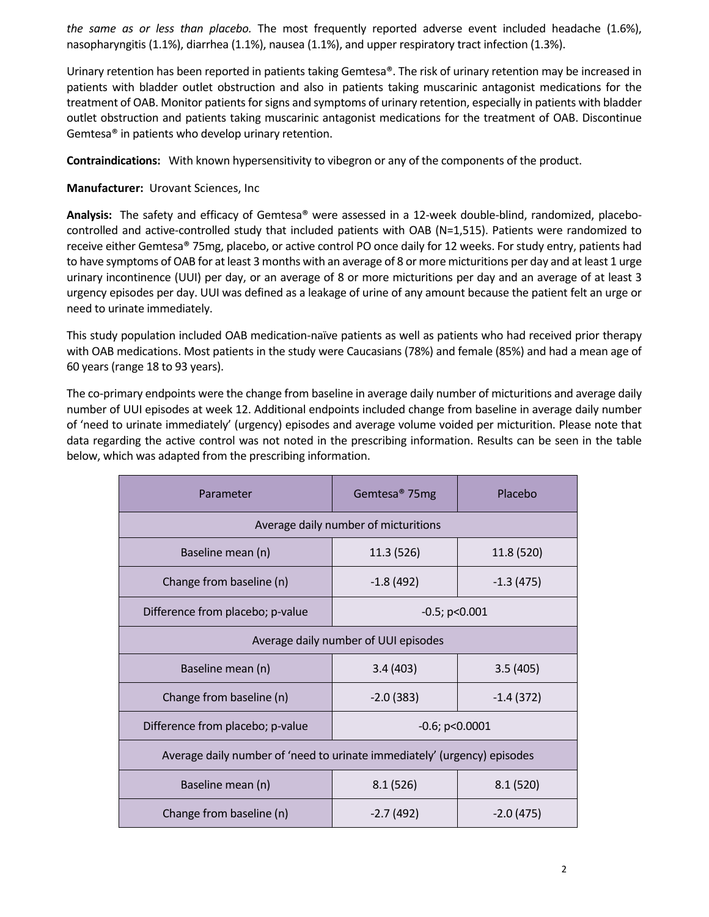*the same as or less than placebo.* The most frequently reported adverse event included headache (1.6%), nasopharyngitis (1.1%), diarrhea (1.1%), nausea (1.1%), and upper respiratory tract infection (1.3%).

Urinary retention has been reported in patients taking Gemtesa®. The risk of urinary retention may be increased in patients with bladder outlet obstruction and also in patients taking muscarinic antagonist medications for the treatment of OAB. Monitor patients for signs and symptoms of urinary retention, especially in patients with bladder outlet obstruction and patients taking muscarinic antagonist medications for the treatment of OAB. Discontinue Gemtesa® in patients who develop urinary retention.

**Contraindications:**  With known hypersensitivity to vibegron or any of the components of the product.

## **Manufacturer:** Urovant Sciences, Inc

**Analysis:** The safety and efficacy of Gemtesa® were assessed in a 12‐week double‐blind, randomized, placebo‐ controlled and active‐controlled study that included patients with OAB (N=1,515). Patients were randomized to receive either Gemtesa® 75mg, placebo, or active control PO once daily for 12 weeks. For study entry, patients had to have symptoms of OAB for at least 3 months with an average of 8 or more micturitions per day and at least 1 urge urinary incontinence (UUI) per day, or an average of 8 or more micturitions per day and an average of at least 3 urgency episodes per day. UUI was defined as a leakage of urine of any amount because the patient felt an urge or need to urinate immediately.

This study population included OAB medication‐naïve patients as well as patients who had received prior therapy with OAB medications. Most patients in the study were Caucasians (78%) and female (85%) and had a mean age of 60 years (range 18 to 93 years).

The co-primary endpoints were the change from baseline in average daily number of micturitions and average daily number of UUI episodes at week 12. Additional endpoints included change from baseline in average daily number of 'need to urinate immediately' (urgency) episodes and average volume voided per micturition. Please note that data regarding the active control was not noted in the prescribing information. Results can be seen in the table below, which was adapted from the prescribing information.

| Parameter                                                                | Gemtesa <sup>®</sup> 75mg | Placebo     |  |
|--------------------------------------------------------------------------|---------------------------|-------------|--|
| Average daily number of micturitions                                     |                           |             |  |
| Baseline mean (n)                                                        | 11.3 (526)                | 11.8 (520)  |  |
| Change from baseline (n)                                                 | $-1.8(492)$               | $-1.3(475)$ |  |
| Difference from placebo; p-value                                         | $-0.5$ ; p<0.001          |             |  |
| Average daily number of UUI episodes                                     |                           |             |  |
| Baseline mean (n)                                                        | 3.4(403)                  | 3.5(405)    |  |
| Change from baseline (n)                                                 | $-2.0(383)$               | $-1.4(372)$ |  |
| Difference from placebo; p-value                                         | $-0.6$ ; $p<0.0001$       |             |  |
| Average daily number of 'need to urinate immediately' (urgency) episodes |                           |             |  |
| Baseline mean (n)                                                        | 8.1(526)                  | 8.1(520)    |  |
| Change from baseline (n)                                                 | $-2.7(492)$               | $-2.0(475)$ |  |